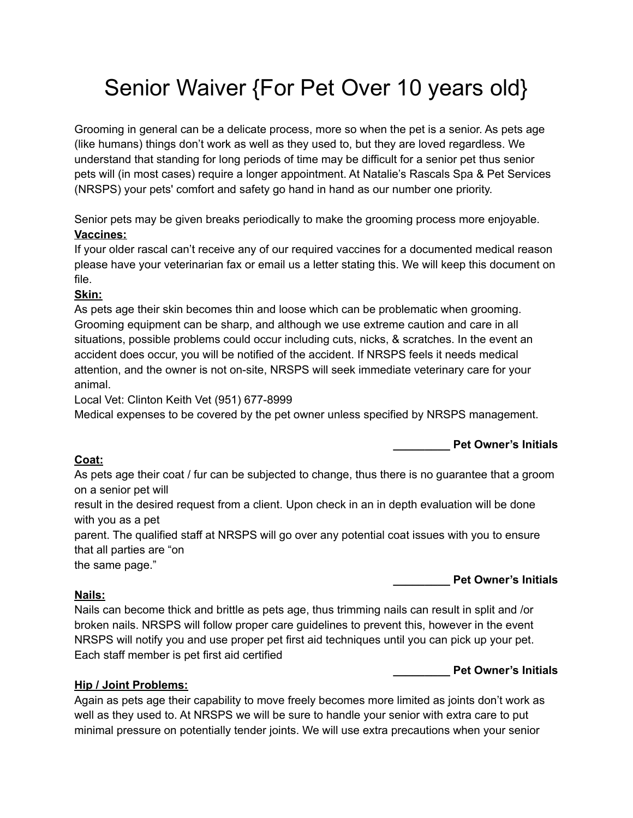# Senior Waiver {For Pet Over 10 years old}

Grooming in general can be a delicate process, more so when the pet is a senior. As pets age (like humans) things don't work as well as they used to, but they are loved regardless. We understand that standing for long periods of time may be difficult for a senior pet thus senior pets will (in most cases) require a longer appointment. At Natalie's Rascals Spa & Pet Services (NRSPS) your pets' comfort and safety go hand in hand as our number one priority.

Senior pets may be given breaks periodically to make the grooming process more enjoyable. **Vaccines:**

If your older rascal can't receive any of our required vaccines for a documented medical reason please have your veterinarian fax or email us a letter stating this. We will keep this document on file.

# **Skin:**

As pets age their skin becomes thin and loose which can be problematic when grooming. Grooming equipment can be sharp, and although we use extreme caution and care in all situations, possible problems could occur including cuts, nicks, & scratches. In the event an accident does occur, you will be notified of the accident. If NRSPS feels it needs medical attention, and the owner is not on-site, NRSPS will seek immediate veterinary care for your animal.

Local Vet: Clinton Keith Vet (951) 677-8999

Medical expenses to be covered by the pet owner unless specified by NRSPS management.

**\_\_\_\_\_\_\_\_\_ Pet Owner's Initials**

# **Coat:**

As pets age their coat / fur can be subjected to change, thus there is no guarantee that a groom on a senior pet will

result in the desired request from a client. Upon check in an in depth evaluation will be done with you as a pet

parent. The qualified staff at NRSPS will go over any potential coat issues with you to ensure that all parties are "on

the same page."

# **Nails:**

Nails can become thick and brittle as pets age, thus trimming nails can result in split and /or broken nails. NRSPS will follow proper care guidelines to prevent this, however in the event NRSPS will notify you and use proper pet first aid techniques until you can pick up your pet. Each staff member is pet first aid certified

**\_\_\_\_\_\_\_\_\_ Pet Owner's Initials**

**\_\_\_\_\_\_\_\_\_ Pet Owner's Initials**

# **Hip / Joint Problems:**

Again as pets age their capability to move freely becomes more limited as joints don't work as well as they used to. At NRSPS we will be sure to handle your senior with extra care to put minimal pressure on potentially tender joints. We will use extra precautions when your senior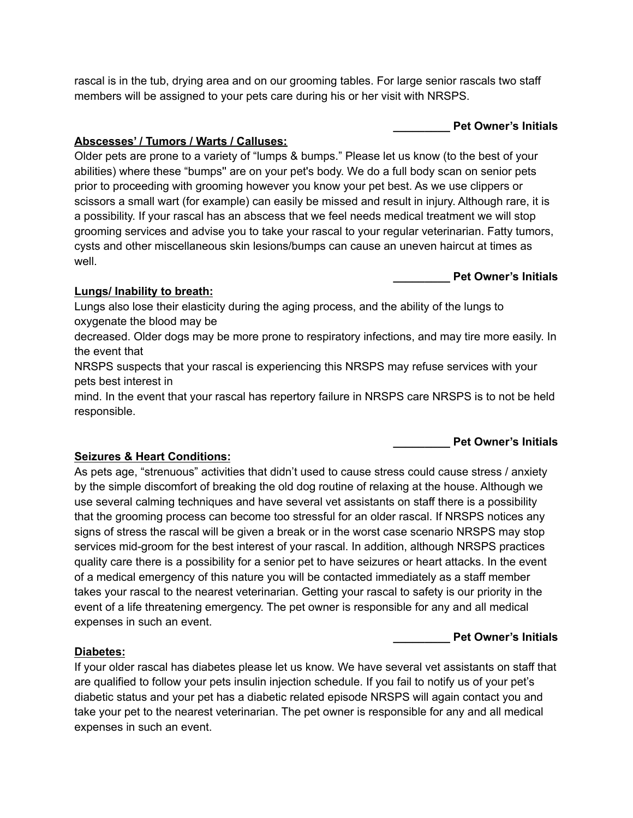rascal is in the tub, drying area and on our grooming tables. For large senior rascals two staff members will be assigned to your pets care during his or her visit with NRSPS.

## **\_\_\_\_\_\_\_\_\_ Pet Owner's Initials**

# **Abscesses' / Tumors / Warts / Calluses:**

Older pets are prone to a variety of "lumps & bumps." Please let us know (to the best of your abilities) where these "bumps'' are on your pet's body. We do a full body scan on senior pets prior to proceeding with grooming however you know your pet best. As we use clippers or scissors a small wart (for example) can easily be missed and result in injury. Although rare, it is a possibility. If your rascal has an abscess that we feel needs medical treatment we will stop grooming services and advise you to take your rascal to your regular veterinarian. Fatty tumors, cysts and other miscellaneous skin lesions/bumps can cause an uneven haircut at times as well.

**\_\_\_\_\_\_\_\_\_ Pet Owner's Initials**

## **Lungs/ Inability to breath:**

Lungs also lose their elasticity during the aging process, and the ability of the lungs to oxygenate the blood may be

decreased. Older dogs may be more prone to respiratory infections, and may tire more easily. In the event that

NRSPS suspects that your rascal is experiencing this NRSPS may refuse services with your pets best interest in

mind. In the event that your rascal has repertory failure in NRSPS care NRSPS is to not be held responsible.

**\_\_\_\_\_\_\_\_\_ Pet Owner's Initials**

### **Seizures & Heart Conditions:**

As pets age, "strenuous" activities that didn't used to cause stress could cause stress / anxiety by the simple discomfort of breaking the old dog routine of relaxing at the house. Although we use several calming techniques and have several vet assistants on staff there is a possibility that the grooming process can become too stressful for an older rascal. If NRSPS notices any signs of stress the rascal will be given a break or in the worst case scenario NRSPS may stop services mid-groom for the best interest of your rascal. In addition, although NRSPS practices quality care there is a possibility for a senior pet to have seizures or heart attacks. In the event of a medical emergency of this nature you will be contacted immediately as a staff member takes your rascal to the nearest veterinarian. Getting your rascal to safety is our priority in the event of a life threatening emergency. The pet owner is responsible for any and all medical expenses in such an event.

**\_\_\_\_\_\_\_\_\_ Pet Owner's Initials**

### **Diabetes:**

If your older rascal has diabetes please let us know. We have several vet assistants on staff that are qualified to follow your pets insulin injection schedule. If you fail to notify us of your pet's diabetic status and your pet has a diabetic related episode NRSPS will again contact you and take your pet to the nearest veterinarian. The pet owner is responsible for any and all medical expenses in such an event.